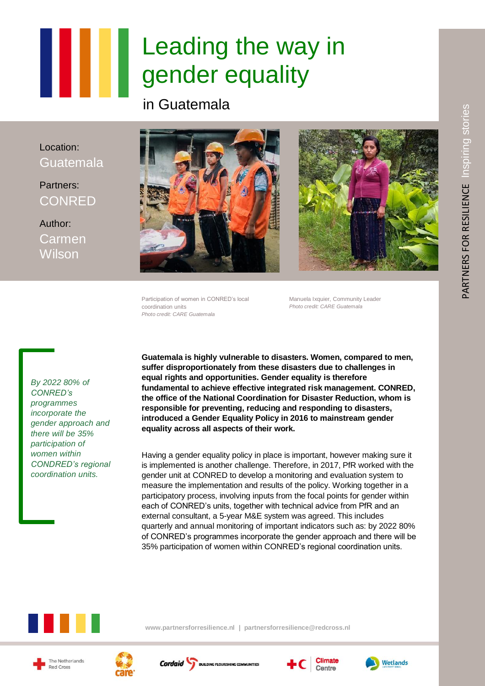## Leading the way in gender equality

in Guatemala

Location: Guatemala

Partners: **CONRED** 

Author: Carmen **Wilson** 





Participation of women in CONRED's local coordination units *Photo credit: CARE Guatemala*

Manuela Ixquier, Community Leader *Photo credit: CARE Guatemala*

**Guatemala is highly vulnerable to disasters. Women, compared to men, suffer disproportionately from these disasters due to challenges in equal rights and opportunities. Gender equality is therefore fundamental to achieve effective integrated risk management. CONRED, the office of the National Coordination for Disaster Reduction, whom is responsible for preventing, reducing and responding to disasters, introduced a Gender Equality Policy in 2016 to mainstream gender equality across all aspects of their work.**

Having a gender equality policy in place is important, however making sure it is implemented is another challenge. Therefore, in 2017, PfR worked with the gender unit at CONRED to develop a monitoring and evaluation system to measure the implementation and results of the policy. Working together in a participatory process, involving inputs from the focal points for gender within each of CONRED's units, together with technical advice from PfR and an external consultant, a 5-year M&E system was agreed. This includes quarterly and annual monitoring of important indicators such as: by 2022 80% of CONRED's programmes incorporate the gender approach and there will be 35% participation of women within CONRED's regional coordination units.



**[www.partnersforresilience.nl](http://www.partnersforresilience.nl/) | [partnersforresilience@redcross.nl](mailto:partnersforresilience@redcross.nl)**

*By 2022 80% of CONRED's programmes incorporate the gender approach and there will be 35% participation of women within CONDRED's regional coordination units.*

The Netherlands Red Cross